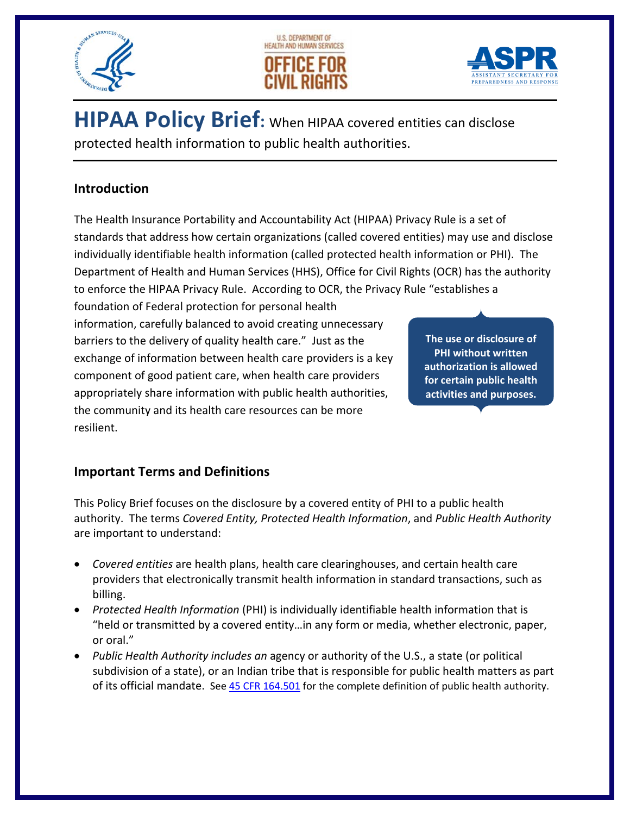





 **HIPAA Policy Brief:** When HIPAA covered entities can disclose protected health information to public health authorities.

### **Introduction**

 The Health Insurance Portability and Accountability Act (HIPAA) Privacy Rule is a set of standards that address how certain organizations (called covered entities) may use and disclose individually identifiable health information (called protected health information or PHI). The Department of Health and Human Services (HHS), Office for Civil Rights (OCR) has the authority to enforce the HIPAA Privacy Rule. According to OCR, the Privacy Rule "establishes a

 foundation of Federal protection for personal health information, carefully balanced to avoid creating unnecessary barriers to the delivery of quality health care." Just as the exchange of information between health care providers is a key component of good patient care, when health care providers appropriately share information with public health authorities, the community and its health care resources can be more resilient.

 **The use or disclosure of PHI without written authorization is allowed for certain public health activities and purposes.**

# **Important Terms and Definitions**

 This Policy Brief focuses on the disclosure by a covered entity of PHI to a public health  authority. The terms *Covered Entity, Protected Health Information*, and *Public Health Authority* are important to understand:

- *Covered entities* are health plans, health care clearinghouses, and certain health care providers that electronically transmit health information in standard transactions, such as billing.
- *Protected Health Information* (PHI) is individually identifiable health information that is "held or transmitted by a covered entity…in any form or media, whether electronic, paper, or oral."
- *Public Health Authority includes an* agency or authority of the U.S., a state (or political subdivision of a state), or an Indian tribe that is responsible for public health matters as part of its official mandate. See 45 CFR 164.501 for the complete definition of public health authority.